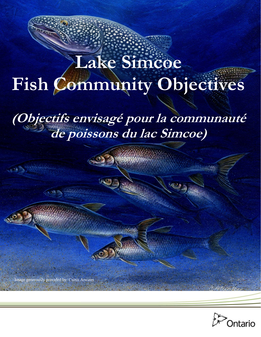# **Fish Community Objectives Lake Simcoe**

**(Objectifs envisagé pour la communauté de poissons du lac Simcoe)** 

Image generously provided by: Curtis Atwater

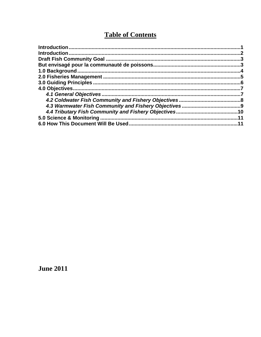# **Table of Contents**

**June 2011**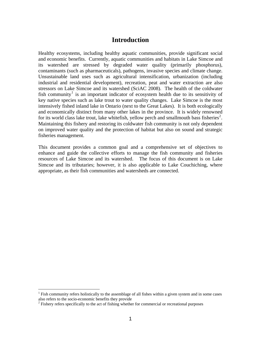### **Introduction**

<span id="page-2-0"></span>Healthy ecosystems, including healthy aquatic communities, provide significant social and economic benefits. Currently, aquatic communities and habitats in Lake Simcoe and its watershed are stressed by degraded water quality (primarily phosphorus), contaminants (such as pharmaceuticals), pathogens, invasive species and climate change. Unsustainable land uses such as agricultural intensification, urbanization (including industrial and residential development), recreation, peat and water extraction are also stressors on Lake Simcoe and its watershed (SciAC 2008). The health of the coldwater fish community<sup>[1](#page-2-1)</sup> is an important indicator of ecosystem health due to its sensitivity of key native species such as lake trout to water quality changes. Lake Simcoe is the most intensively fished inland lake in Ontario (next to the Great Lakes). It is both ecologically and economically distinct from many other lakes in the province. It is widely renowned for its world class lake trout, lake white fish, yellow perch and smallmouth bass fisheries<sup>[2](#page-2-2)</sup>. Maintaining this fishery and restoring its coldwater fish community is not only dependent on improved water quality and the protection of habitat but also on sound and strategic fisheries management.

This document provides a common goal and a comprehensive set of objectives to enhance and guide the collective efforts to manage the fish community and fisheries resources of Lake Simcoe and its watershed. The focus of this document is on Lake Simcoe and its tributaries; however, it is also applicable to Lake Couchiching, where appropriate, as their fish communities and watersheds are connected.

1

<span id="page-2-1"></span> $<sup>1</sup>$  Fish community refers holistically to the assemblage of all fishes within a given system and in some cases</sup> also refers to the socio-economic benefits they provide

<span id="page-2-2"></span> $2$  Fishery refers specifically to the act of fishing whether for commercial or recreational purposes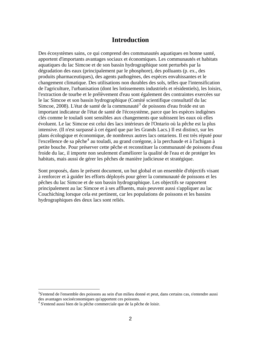#### **Introduction**

Des écosystèmes sains, ce qui comprend des communautés aquatiques en bonne santé, apportent d'importants avantages sociaux et économiques. Les communautés et habitats aquatiques du lac Simcoe et de son bassin hydrographique sont perturbés par la dégradation des eaux (principalement par le phosphore), des polluants (p. ex., des produits pharmaceutiques), des agents pathogènes, des espèces envahissantes et le changement climatique. Des utilisations non durables des sols, telles que l'intensification de l'agriculture, l'urbanisation (dont les lotissements industriels et résidentiels), les loisirs, l'extraction de tourbe et le prélèvement d'eau sont également des contraintes exercées sur le lac Simcoe et son bassin hydrographique (Comité scientifique consultatif du lac Simcoe, 2008). L'état de santé de la communauté<sup>[3](#page-3-0)</sup> de poissons d'eau froide est un important indicateur de l'état de santé de l'écosystème, parce que les espèces indigènes clés comme le touladi sont sensibles aux changements que subissent les eaux où elles évoluent. Le lac Simcoe est celui des lacs intérieurs de l'Ontario où la pêche est la plus intensive. (Il n'est surpassé à cet égard que par les Grands Lacs.) Il est distinct, sur les plans écologique et économique, de nombreux autres lacs ontariens. Il est très réputé pour l'excellence de sa pêche<sup>[4](#page-3-1)</sup> au touladi, au grand corégone, à la perchaude et à l'achigan à petite bouche. Pour préserver cette pêche et reconstituer la communauté de poissons d'eau froide du lac, il importe non seulement d'améliorer la qualité de l'eau et de protéger les habitats, mais aussi de gérer les pêches de manière judicieuse et stratégique.

Sont proposés, dans le présent document, un but global et un ensemble d'objectifs visant à renforcer et à guider les efforts déployés pour gérer la communauté de poissons et les pêches du lac Simcoe et de son bassin hydrographique. Les objectifs se rapportent principalement au lac Simcoe et à ses affluents, mais peuvent aussi s'appliquer au lac Couchiching lorsque cela est pertinent, car les populations de poissons et les bassins hydrographiques des deux lacs sont reliés.

 $\overline{a}$ 

<span id="page-3-0"></span><sup>&</sup>lt;sup>3</sup>S'entend de l'ensemble des poissons au sein d'un milieu donné et peut, dans certains cas, s'entendre aussi des avantages socioéconomiques qu'apportent ces poissons.

<span id="page-3-1"></span><sup>4</sup> S'entend aussi bien de la pêche commerciale que de la pêche de loisir.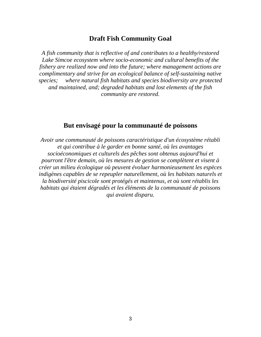#### **Draft Fish Community Goal**

*A fish community that is reflective of and contributes to a healthy/restored Lake Simcoe ecosystem where socio-economic and cultural benefits of the fishery are realized now and into the future; where management actions are complimentary and strive for an ecological balance of self-sustaining native species; where natural fish habitats and species biodiversity are protected and maintained, and; degraded habitats and lost elements of the fish community are restored.* 

## **But envisagé pour la communauté de poissons**

*Avoir une communauté de poissons caractéristique d'un écosystème rétabli et qui contribue à le garder en bonne santé, où les avantages socioéconomiques et culturels des pêches sont obtenus aujourd'hui et pourront l'être demain, où les mesures de gestion se complètent et visent à créer un milieu écologique où peuvent évoluer harmonieusement les espèces indigènes capables de se repeupler naturellement, où les habitats naturels et la biodiversité piscicole sont protégés et maintenus, et où sont rétablis les habitats qui étaient dégradés et les éléments de la communauté de poissons qui avaient disparu.*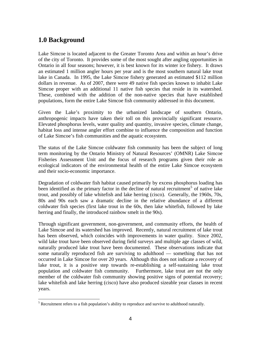# **1.0 Background**

<u>.</u>

Lake Simcoe is located adjacent to the Greater Toronto Area and within an hour's drive of the city of Toronto. It provides some of the most sought after angling opportunities in Ontario in all four seasons; however, it is best known for its winter ice fishery. It draws an estimated 1 million angler hours per year and is the most southern natural lake trout lake in Canada. In 1995, the Lake Simcoe fishery generated an estimated \$112 million dollars in revenue. As of 2007, there were 49 native fish species known to inhabit Lake Simcoe proper with an additional 11 native fish species that reside in its watershed. These, combined with the addition of the non-native species that have established populations, form the entire Lake Simcoe fish community addressed in this document.

Given the Lake's proximity to the urbanized landscape of southern Ontario, anthropogenic impacts have taken their toll on this provincially significant resource. Elevated phosphorus levels, water quality and quantity, invasive species, climate change, habitat loss and intense angler effort combine to influence the composition and function of Lake Simcoe's fish communities and the aquatic ecosystem.

The status of the Lake Simcoe coldwater fish community has been the subject of long term monitoring by the Ontario Ministry of Natural Resources' (OMNR) Lake Simcoe Fisheries Assessment Unit and the focus of research programs given their role as ecological indicators of the environmental health of the entire Lake Simcoe ecosystem and their socio-economic importance.

Degradation of coldwater fish habitat caused primarily by excess phosphorus loading has been identified as the primary factor in the decline of natural recruitment<sup>[5](#page-5-0)</sup> of native lake trout, and possibly of lake whitefish and lake herring (cisco). Generally, the 1960s, 70s, 80s and 90s each saw a dramatic decline in the relative abundance of a different coldwater fish species (first lake trout in the 60s, then lake whitefish, followed by lake herring and finally, the introduced rainbow smelt in the 90s).

Through significant government, non-government, and community efforts, the health of Lake Simcoe and its watershed has improved. Recently, natural recruitment of lake trout has been observed, which coincides with improvements in water quality. Since 2002, wild lake trout have been observed during field surveys and multiple age classes of wild, naturally produced lake trout have been documented. These observations indicate that some naturally reproduced fish are surviving to adulthood — something that has not occurred in Lake Simcoe for over 20 years. Although this does not indicate a recovery of lake trout, it is a positive step towards re-establishing a self-sustaining lake trout population and coldwater fish community. Furthermore, lake trout are not the only member of the coldwater fish community showing positive signs of potential recovery; lake whitefish and lake herring (cisco) have also produced sizeable year classes in recent years.

<span id="page-5-0"></span> $<sup>5</sup>$  Recruitment refers to a fish population's ability to reproduce and survive to adulthood naturally.</sup>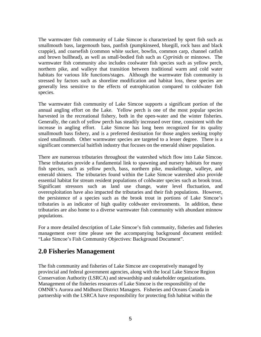The warmwater fish community of Lake Simcoe is characterized by sport fish such as smallmouth bass, largemouth bass, panfish (pumpkinseed, bluegill, rock bass and black crappie), and coarsefish (common white sucker, bowfin, common carp, channel catfish and brown bullhead), as well as small-bodied fish such as *Cyprinids* or minnows. The warmwater fish community also includes coolwater fish species such as yellow perch, northern pike, and walleye that transition between traditional warm and cold water habitats for various life functions/stages. Although the warmwater fish community is stressed by factors such as shoreline modification and habitat loss, these species are generally less sensitive to the effects of eutrophication compared to coldwater fish species.

The warmwater fish community of Lake Simcoe supports a significant portion of the annual angling effort on the Lake. Yellow perch is one of the most popular species harvested in the recreational fishery, both in the open-water and the winter fisheries. Generally, the catch of yellow perch has steadily increased over time, consistent with the increase in angling effort. Lake Simcoe has long been recognized for its quality smallmouth bass fishery, and is a preferred destination for those anglers seeking trophy sized smallmouth. Other warmwater species are targeted to a lesser degree. There is a significant commercial baitfish industry that focuses on the emerald shiner population.

There are numerous tributaries throughout the watershed which flow into Lake Simcoe. These tributaries provide a fundamental link to spawning and nursery habitats for many fish species, such as yellow perch, bass, northern pike, muskellunge, walleye, and emerald shiners. The tributaries found within the Lake Simcoe watershed also provide essential habitat for stream resident populations of coldwater species such as brook trout. Significant stressors such as land use change, water level fluctuation, and overexploitation have also impacted the tributaries and their fish populations. However, the persistence of a species such as the brook trout in portions of Lake Simcoe's tributaries is an indicator of high quality coldwater environments. In addition, these tributaries are also home to a diverse warmwater fish community with abundant minnow populations.

For a more detailed description of Lake Simcoe's fish community, fisheries and fisheries management over time please see the accompanying background document entitled: "Lake Simcoe's Fish Community Objectives: Background Document".

# **2.0 Fisheries Management**

The fish community and fisheries of Lake Simcoe are cooperatively managed by provincial and federal government agencies, along with the local Lake Simcoe Region Conservation Authority (LSRCA) and stewardship and stakeholder organizations. Management of the fisheries resources of Lake Simcoe is the responsibility of the OMNR's Aurora and Midhurst District Managers. Fisheries and Oceans Canada in partnership with the LSRCA have responsibility for protecting fish habitat within the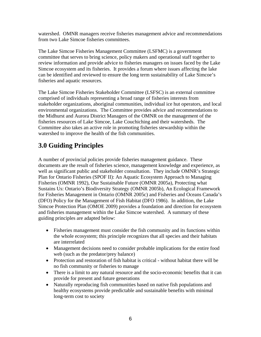watershed. OMNR managers receive fisheries management advice and recommendations from two Lake Simcoe fisheries committees.

The Lake Simcoe Fisheries Management Committee (LSFMC) is a government committee that serves to bring science, policy makers and operational staff together to review information and provide advice to fisheries managers on issues faced by the Lake Simcoe ecosystem and its fisheries. It provides a forum where issues affecting the lake can be identified and reviewed to ensure the long term sustainability of Lake Simcoe's fisheries and aquatic resources.

The Lake Simcoe Fisheries Stakeholder Committee (LSFSC) is an external committee comprised of individuals representing a broad range of fisheries interests from stakeholder organizations, aboriginal communities, individual ice hut operators, and local environmental organizations. The Committee provides advice and recommendations to the Midhurst and Aurora District Managers of the OMNR on the management of the fisheries resources of Lake Simcoe, Lake Couchiching and their watersheds. The Committee also takes an active role in promoting fisheries stewardship within the watershed to improve the health of the fish communities.

# **3.0 Guiding Principles**

A number of provincial policies provide fisheries management guidance. These documents are the result of fisheries science, management knowledge and experience, as well as significant public and stakeholder consultation. They include OMNR's Strategic Plan for Ontario Fisheries (SPOF II): An Aquatic Ecosystem Approach to Managing Fisheries (OMNR 1992), Our Sustainable Future (OMNR 2005a), Protecting what Sustains Us: Ontario's Biodiversity Strategy (OMNR 2005b), An Ecological Framework for Fisheries Management in Ontario (OMNR 2005c) and Fisheries and Oceans Canada's (DFO) Policy for the Management of Fish Habitat (DFO 1986). In addition, the Lake Simcoe Protection Plan (OMOE 2009) provides a foundation and direction for ecosystem and fisheries management within the Lake Simcoe watershed. A summary of these guiding principles are adapted below:

- Fisheries management must consider the fish community and its functions within the whole ecosystem; this principle recognizes that all species and their habitats are interrelated
- Management decisions need to consider probable implications for the entire food web (such as the predator/prey balance)
- Protection and restoration of fish habitat is critical without habitat there will be no fish community or fisheries to manage
- There is a limit to any natural resource and the socio-economic benefits that it can provide for present and future generations
- Naturally reproducing fish communities based on native fish populations and healthy ecosystems provide predictable and sustainable benefits with minimal long-term cost to society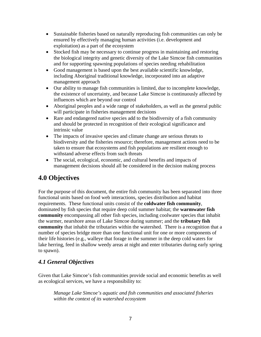- Sustainable fisheries based on naturally reproducing fish communities can only be ensured by effectively managing human activities (i.e. development and exploitation) as a part of the ecosystem
- Stocked fish may be necessary to continue progress in maintaining and restoring the biological integrity and genetic diversity of the Lake Simcoe fish communities and for supporting spawning populations of species needing rehabilitation
- Good management is based upon the best available scientific knowledge, including Aboriginal traditional knowledge, incorporated into an adaptive management approach
- Our ability to manage fish communities is limited, due to incomplete knowledge, the existence of uncertainty, and because Lake Simcoe is continuously affected by influences which are beyond our control
- Aboriginal peoples and a wide range of stakeholders, as well as the general public will participate in fisheries management decisions
- Rare and endangered native species add to the biodiversity of a fish community and should be protected in recognition of their ecological significance and intrinsic value
- The impacts of invasive species and climate change are serious threats to biodiversity and the fisheries resource; therefore, management actions need to be taken to ensure that ecosystems and fish populations are resilient enough to withstand adverse effects from such threats
- The social, ecological, economic, and cultural benefits and impacts of management decisions should all be considered in the decision making process

# **4.0 Objectives**

For the purpose of this document, the entire fish community has been separated into three functional units based on food web interactions, species distribution and habitat requirements. These functional units consist of the **coldwater fish community**, dominated by fish species that require deep cold summer habitat; the **warmwater fish community** encompassing all other fish species, including coolwater species that inhabit the warmer, nearshore areas of Lake Simcoe during summer; and the **tributary fish community** that inhabit the tributaries within the watershed. There is a recognition that a number of species bridge more than one functional unit for one or more components of their life histories (e.g., walleye that forage in the summer in the deep cold waters for lake herring, feed in shallow weedy areas at night and enter tributaries during early spring to spawn).

## *4.1 General Objectives*

Given that Lake Simcoe's fish communities provide social and economic benefits as well as ecological services, we have a responsibility to:

*Manage Lake Simcoe's aquatic and fish communities and associated fisheries within the context of its watershed ecosystem*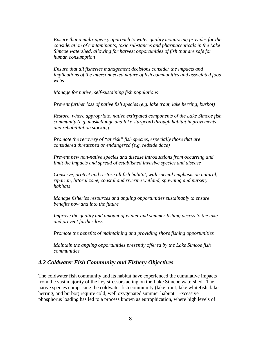*Ensure that a multi-agency approach to water quality monitoring provides for the consideration of contaminants, toxic substances and pharmaceuticals in the Lake Simcoe watershed, allowing for harvest opportunities of fish that are safe for human consumption* 

*Ensure that all fisheries management decisions consider the impacts and implications of the interconnected nature of fish communities and associated food webs* 

*Manage for native, self-sustaining fish populations* 

*Prevent further loss of native fish species (e.g. lake trout, lake herring, burbot)* 

*Restore, where appropriate, native extirpated components of the Lake Simcoe fish community (e.g. muskellunge and lake sturgeon) through habitat improvements and rehabilitation stocking* 

*Promote the recovery of "at risk" fish species, especially those that are considered threatened or endangered (e.g. redside dace)* 

*Prevent new non-native species and disease introductions from occurring and limit the impacts and spread of established invasive species and disease* 

*Conserve, protect and restore all fish habitat, with special emphasis on natural, riparian, littoral zone, coastal and riverine wetland, spawning and nursery habitats* 

*Manage fisheries resources and angling opportunities sustainably to ensure benefits now and into the future* 

*Improve the quality and amount of winter and summer fishing access to the lake and prevent further loss* 

*Promote the benefits of maintaining and providing shore fishing opportunities* 

*Maintain the angling opportunities presently offered by the Lake Simcoe fish communities* 

#### *4.2 Coldwater Fish Community and Fishery Objectives*

The coldwater fish community and its habitat have experienced the cumulative impacts from the vast majority of the key stressors acting on the Lake Simcoe watershed. The native species comprising the coldwater fish community (lake trout, lake whitefish, lake herring, and burbot) require cold, well oxygenated summer habitat. Excessive phosphorus loading has led to a process known as eutrophication, where high levels of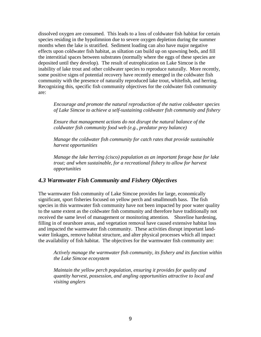dissolved oxygen are consumed. This leads to a loss of coldwater fish habitat for certain species residing in the hypolimnion due to severe oxygen depletion during the summer months when the lake is stratified. Sediment loading can also have major negative effects upon coldwater fish habitat, as siltation can build up on spawning beds, and fill the interstitial spaces between substrates (normally where the eggs of these species are deposited until they develop). The result of eutrophication on Lake Simcoe is the inability of lake trout and other coldwater species to reproduce naturally. More recently, some positive signs of potential recovery have recently emerged in the coldwater fish community with the presence of naturally reproduced lake trout, whitefish, and herring. Recognizing this, specific fish community objectives for the coldwater fish community are:

*Encourage and promote the natural reproduction of the native coldwater species of Lake Simcoe to achieve a self-sustaining coldwater fish community and fishery* 

*Ensure that management actions do not disrupt the natural balance of the coldwater fish community food web (e.g., predator prey balance)* 

*Manage the coldwater fish community for catch rates that provide sustainable harvest opportunities* 

*Manage the lake herring (cisco) population as an important forage base for lake trout; and when sustainable, for a recreational fishery to allow for harvest opportunities* 

#### *4.3 Warmwater Fish Community and Fishery Objectives*

The warmwater fish community of Lake Simcoe provides for large, economically significant, sport fisheries focused on yellow perch and smallmouth bass. The fish species in this warmwater fish community have not been impacted by poor water quality to the same extent as the coldwater fish community and therefore have traditionally not received the same level of management or monitoring attention. Shoreline hardening, filling in of nearshore areas, and vegetation removal have caused extensive habitat loss and impacted the warmwater fish community. These activities disrupt important landwater linkages, remove habitat structure, and alter physical processes which all impact the availability of fish habitat. The objectives for the warmwater fish community are:

*Actively manage the warmwater fish community, its fishery and its function within the Lake Simcoe ecosystem* 

*Maintain the yellow perch population, ensuring it provides for quality and quantity harvest, possession, and angling opportunities attractive to local and visiting anglers*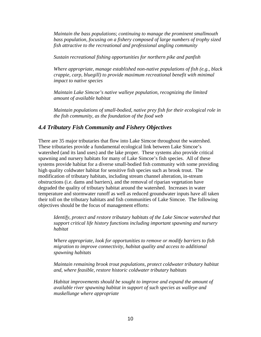*Maintain the bass populations*; *continuing to manage the prominent smallmouth bass population, focusing on a fishery composed of large numbers of trophy sized fish attractive to the recreational and professional angling community* 

*Sustain recreational fishing opportunities for northern pike and panfish* 

*Where appropriate, manage established non-native populations of fish (e.g., black crappie, carp, bluegill) to provide maximum recreational benefit with minimal impact to native species* 

*Maintain Lake Simcoe's native walleye population, recognizing the limited amount of available habitat* 

*Maintain populations of small-bodied, native prey fish for their ecological role in the fish community, as the foundation of the food web* 

#### *4.4 Tributary Fish Community and Fishery Objectives*

There are 35 major tributaries that flow into Lake Simcoe throughout the watershed. These tributaries provide a fundamental ecological link between Lake Simcoe's watershed (and its land uses) and the lake proper. These systems also provide critical spawning and nursery habitats for many of Lake Simcoe's fish species. All of these systems provide habitat for a diverse small-bodied fish community with some providing high quality coldwater habitat for sensitive fish species such as brook trout. The modification of tributary habitats, including stream channel alteration, in-stream obstructions (i.e. dams and barriers), and the removal of riparian vegetation have degraded the quality of tributary habitat around the watershed. Increases in water temperature and stormwater runoff as well as reduced groundwater inputs have all taken their toll on the tributary habitats and fish communities of Lake Simcoe. The following objectives should be the focus of management efforts:

*Identify, protect and restore tributary habitats of the Lake Simcoe watershed that support critical life history functions including important spawning and nursery habitat* 

*Where appropriate, look for opportunities to remove or modify barriers to fish migration to improve connectivity, habitat quality and access to additional spawning habitats* 

*Maintain remaining brook trout populations, protect coldwater tributary habitat and, where feasible, restore historic coldwater tributary habitats* 

*Habitat improvements should be sought to improve and expand the amount of available river spawning habitat in support of such species as walleye and muskellunge where appropriate*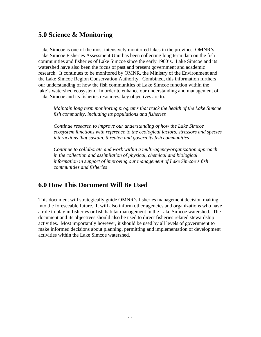# **5.0 Science & Monitoring**

Lake Simcoe is one of the most intensively monitored lakes in the province. OMNR's Lake Simcoe Fisheries Assessment Unit has been collecting long term data on the fish communities and fisheries of Lake Simcoe since the early 1960's. Lake Simcoe and its watershed have also been the focus of past and present government and academic research. It continues to be monitored by OMNR, the Ministry of the Environment and the Lake Simcoe Region Conservation Authority. Combined, this information furthers our understanding of how the fish communities of Lake Simcoe function within the lake's watershed ecosystem. In order to enhance our understanding and management of Lake Simcoe and its fisheries resources, key objectives are to:

*Maintain long term monitoring programs that track the health of the Lake Simcoe fish community, including its populations and fisheries* 

*Continue research to improve our understanding of how the Lake Simcoe ecosystem functions with reference to the ecological factors, stressors and species interactions that sustain, threaten and govern its fish communities* 

*Continue to collaborate and work within a multi-agency/organization approach in the collection and assimilation of physical, chemical and biological information in support of improving our management of Lake Simcoe's fish communities and fisheries* 

## **6.0 How This Document Will Be Used**

This document will strategically guide OMNR's fisheries management decision making into the foreseeable future. It will also inform other agencies and organizations who have a role to play in fisheries or fish habitat management in the Lake Simcoe watershed. The document and its objectives should also be used to direct fisheries related stewardship activities. Most importantly however, it should be used by all levels of government to make informed decisions about planning, permitting and implementation of development activities within the Lake Simcoe watershed.